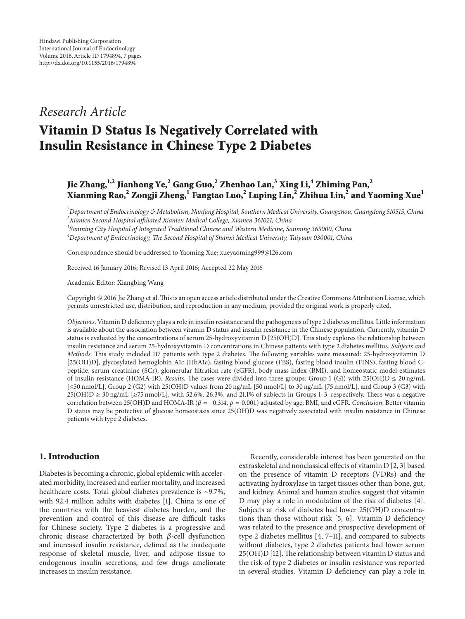## *Research Article*

# **Vitamin D Status Is Negatively Correlated with Insulin Resistance in Chinese Type 2 Diabetes**

### **Jie Zhang,1,2 Jianhong Ye,2 Gang Guo,2 Zhenhao Lan,3 Xing Li,4 Zhiming Pan,2 Xianming Rao,<sup>2</sup> Zongji Zheng,1 Fangtao Luo,2 Luping Lin,<sup>2</sup> Zhihua Lin,2 and Yaoming Xue1**

*1 Department of Endocrinology & Metabolism, Nanfang Hospital, Southern Medical University, Guangzhou, Guangdong 510515, China 2 Xiamen Second Hospital affiliated Xiamen Medical College, Xiamen 361021, China*

*3 Sanming City Hospital of Integrated Traditional Chinese and Western Medicine, Sanming 365000, China*

*4 Department of Endocrinology, The Second Hospital of Shanxi Medical University, Taiyuan 030001, China*

Correspondence should be addressed to Yaoming Xue; xueyaoming999@126.com

Received 16 January 2016; Revised 13 April 2016; Accepted 22 May 2016

Academic Editor: Xiangbing Wang

Copyright © 2016 Jie Zhang et al.This is an open access article distributed under the Creative Commons Attribution License, which permits unrestricted use, distribution, and reproduction in any medium, provided the original work is properly cited.

*Objectives*. Vitamin D deficiency plays a role in insulin resistance and the pathogenesis of type 2 diabetes mellitus. Little information is available about the association between vitamin D status and insulin resistance in the Chinese population. Currently, vitamin D status is evaluated by the concentrations of serum 25-hydroxyvitamin D [25(OH)D]. This study explores the relationship between insulin resistance and serum 25-hydroxyvitamin D concentrations in Chinese patients with type 2 diabetes mellitus. *Subjects and Methods*. This study included 117 patients with type 2 diabetes. The following variables were measured: 25-hydroxyvitamin D [25(OH)D], glycosylated hemoglobin A1c (HbA1c), fasting blood glucose (FBS), fasting blood insulin (FINS), fasting blood Cpeptide, serum creatinine (SCr), glomerular filtration rate (eGFR), body mass index (BMI), and homeostatic model estimates of insulin resistance (HOMA-IR). *Results*. The cases were divided into three groups: Group 1 (G1) with  $25(OH)D \le 20$  ng/mL [≤50 nmol/L], Group 2 (G2) with 25(OH)D values from 20 ng/mL [50 nmol/L] to 30 ng/mL [75 nmol/L], and Group 3 (G3) with  $25(OH)D \geq 30$  ng/mL [ $\geq$ 75 nmol/L], with 52.6%, 26.3%, and 21.1% of subjects in Groups 1–3, respectively. There was a negative correlation between 25(OH)D and HOMA-IR ( $\beta$  = -0.314,  $p$  = 0.001) adjusted by age, BMI, and eGFR. *Conclusion*. Better vitamin D status may be protective of glucose homeostasis since 25(OH)D was negatively associated with insulin resistance in Chinese patients with type 2 diabetes.

#### **1. Introduction**

Diabetes is becoming a chronic, global epidemic with accelerated morbidity, increased and earlier mortality, and increased healthcare costs. Total global diabetes prevalence is ∼9.7%, with 92.4 million adults with diabetes [1]. China is one of the countries with the heaviest diabetes burden, and the prevention and control of this disease are difficult tasks for Chinese society. Type 2 diabetes is a progressive and chronic disease characterized by both  $\beta$ -cell dysfunction and increased insulin resistance, defined as the inadequate response of skeletal muscle, liver, and adipose tissue to endogenous insulin secretions, and few drugs ameliorate increases in insulin resistance.

Recently, considerable interest has been generated on the extraskeletal and nonclassical effects of vitamin D [2, 3] based on the presence of vitamin D receptors (VDRs) and the activating hydroxylase in target tissues other than bone, gut, and kidney. Animal and human studies suggest that vitamin D may play a role in modulation of the risk of diabetes [4]. Subjects at risk of diabetes had lower 25(OH)D concentrations than those without risk [5, 6]. Vitamin D deficiency was related to the presence and prospective development of type 2 diabetes mellitus [4, 7–11], and compared to subjects without diabetes, type 2 diabetes patients had lower serum 25(OH)D [12]. The relationship between vitamin D status and the risk of type 2 diabetes or insulin resistance was reported in several studies. Vitamin D deficiency can play a role in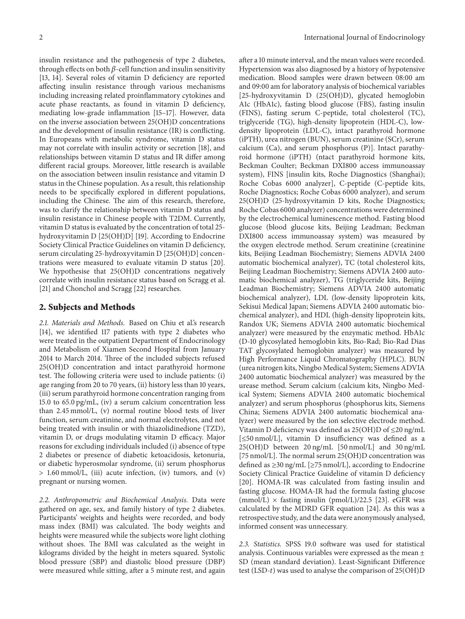insulin resistance and the pathogenesis of type 2 diabetes, through effects on both  $\beta$ -cell function and insulin sensitivity [13, 14]. Several roles of vitamin D deficiency are reported affecting insulin resistance through various mechanisms including increasing related proinflammatory cytokines and acute phase reactants, as found in vitamin D deficiency, mediating low-grade inflammation [15–17]. However, data on the inverse association between 25(OH)D concentrations and the development of insulin resistance (IR) is conflicting. In Europeans with metabolic syndrome, vitamin D status may not correlate with insulin activity or secretion [18], and relationships between vitamin D status and IR differ among different racial groups. Moreover, little research is available on the association between insulin resistance and vitamin D status in the Chinese population. As a result, this relationship needs to be specifically explored in different populations, including the Chinese. The aim of this research, therefore, was to clarify the relationship between vitamin D status and insulin resistance in Chinese people with T2DM. Currently, vitamin D status is evaluated by the concentration of total 25 hydroxyvitamin D [25(OH)D] [19]. According to Endocrine Society Clinical Practice Guidelines on vitamin D deficiency, serum circulating 25-hydroxyvitamin D [25(OH)D] concentrations were measured to evaluate vitamin D status [20]. We hypothesise that 25(OH)D concentrations negatively correlate with insulin resistance status based on Scragg et al. [21] and Chonchol and Scragg [22] researches.

#### **2. Subjects and Methods**

*2.1. Materials and Methods.* Based on Chiu et al.'s research [14], we identified 117 patients with type 2 diabetes who were treated in the outpatient Department of Endocrinology and Metabolism of Xiamen Second Hospital from January 2014 to March 2014. Three of the included subjects refused 25(OH)D concentration and intact parathyroid hormone test. The following criteria were used to include patients: (i) age ranging from 20 to 70 years, (ii) history less than 10 years, (iii) serum parathyroid hormone concentration ranging from 15.0 to 65.0 pg/mL, (iv) a serum calcium concentration less than 2.45 mmol/L, (v) normal routine blood tests of liver function, serum creatinine, and normal electrolytes, and not being treated with insulin or with thiazolidinedione (TZD), vitamin D, or drugs modulating vitamin D efficacy. Major reasons for excluding individuals included (i) absence of type 2 diabetes or presence of diabetic ketoacidosis, ketonuria, or diabetic hyperosmolar syndrome, (ii) serum phosphorus > 1.60 mmol/L, (iii) acute infection, (iv) tumors, and (v) pregnant or nursing women.

*2.2. Anthropometric and Biochemical Analysis.* Data were gathered on age, sex, and family history of type 2 diabetes. Participants' weights and heights were recorded, and body mass index (BMI) was calculated. The body weights and heights were measured while the subjects wore light clothing without shoes. The BMI was calculated as the weight in kilograms divided by the height in meters squared. Systolic blood pressure (SBP) and diastolic blood pressure (DBP) were measured while sitting, after a 5 minute rest, and again after a 10 minute interval, and the mean values were recorded. Hypertension was also diagnosed by a history of hypotensive medication. Blood samples were drawn between 08:00 am and 09:00 am for laboratory analysis of biochemical variables [25-hydroxyvitamin D (25(OH)D), glycated hemoglobin A1c (HbA1c), fasting blood glucose (FBS), fasting insulin (FINS), fasting serum C-peptide, total cholesterol (TC), triglyceride (TG), high-density lipoprotein (HDL-C), lowdensity lipoprotein (LDL-C), intact parathyroid hormone (iPTH), urea nitrogen (BUN), serum creatinine (SCr), serum calcium (Ca), and serum phosphorus (P)]. Intact parathyroid hormone (iPTH) (ntact parathyroid hormone kits, Beckman Coulter; Beckman DXI800 access immunoassay system), FINS [insulin kits, Roche Diagnostics (Shanghai); Roche Cobas 6000 analyzer], C-peptide (C-peptide kits, Roche Diagnostics; Roche Cobas 6000 analyzer), and serum 25(OH)D (25-hydroxyvitamin D kits, Roche Diagnostics; Roche Cobas 6000 analyzer) concentrations were determined by the electrochemical luminescence method. Fasting blood glucose (blood glucose kits, Beijing Leadman; Beckman DXI800 access immunoassay system) was measured by the oxygen electrode method. Serum creatinine (creatinine kits, Beijing Leadman Biochemistry; Siemens ADVIA 2400 automatic biochemical analyzer), TC (total cholesterol kits, Beijing Leadman Biochemistry; Siemens ADVIA 2400 automatic biochemical analyzer), TG (triglyceride kits, Beijing Leadman Biochemistry; Siemens ADVIA 2400 automatic biochemical analyzer), LDL (low-density lipoprotein kits, Sekisui Medical Japan; Siemens ADVIA 2400 automatic biochemical analyzer), and HDL (high-density lipoprotein kits, Randox UK; Siemens ADVIA 2400 automatic biochemical analyzer) were measured by the enzymatic method. HbA1c (D-10 glycosylated hemoglobin kits, Bio-Rad; Bio-Rad Dias TAT glycosylated hemoglobin analyzer) was measured by High Performance Liquid Chromatography (HPLC). BUN (urea nitrogen kits, Ningbo Medical System; Siemens ADVIA 2400 automatic biochemical analyzer) was measured by the urease method. Serum calcium (calcium kits, Ningbo Medical System; Siemens ADVIA 2400 automatic biochemical analyzer) and serum phosphorus (phosphorus kits, Siemens China; Siemens ADVIA 2400 automatic biochemical analyzer) were measured by the ion selective electrode method. Vitamin D deficiency was defined as 25(OH)D of ≤20 ng/mL [≤50 nmol/L], vitamin D insufficiency was defined as a 25(OH)D between 20 ng/mL [50 nmol/L] and 30 ng/mL [75 nmol/L]. The normal serum 25(OH)D concentration was defined as ≥30 ng/mL [≥75 nmol/L], according to Endocrine Society Clinical Practice Guideline of vitamin D deficiency [20]. HOMA-IR was calculated from fasting insulin and fasting glucose. HOMA-IR had the formula fasting glucose (mmol/L)  $\times$  fasting insulin (pmol/L)/22.5 [23]. eGFR was calculated by the MDRD GFR equation [24]. As this was a retrospective study, and the data were anonymously analysed, informed consent was unnecessary.

*2.3. Statistics.* SPSS 19.0 software was used for statistical analysis. Continuous variables were expressed as the mean ± SD (mean standard deviation). Least-Significant Difference test (LSD- $t$ ) was used to analyse the comparison of 25(OH)D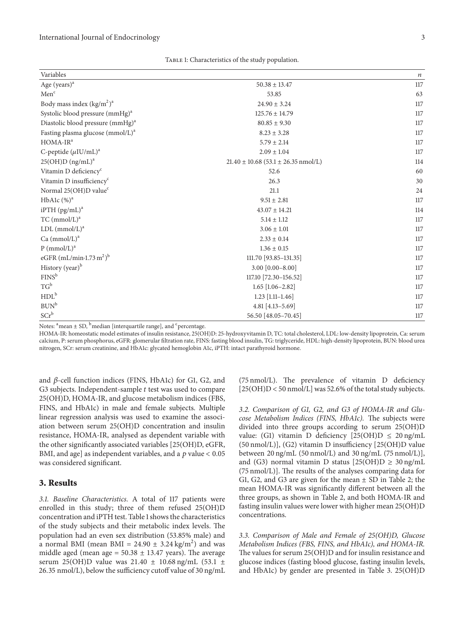TABLE 1: Characteristics of the study population.

| Variables                                    |                                             | $\boldsymbol{n}$ |
|----------------------------------------------|---------------------------------------------|------------------|
| Age (years) <sup>a</sup>                     | $50.38 \pm 13.47$                           | 117              |
| Menc                                         | 53.85                                       | 63               |
| Body mass index $(kg/m2)a$                   | $24.90 \pm 3.24$                            | 117              |
| Systolic blood pressure (mmHg) <sup>a</sup>  | $125.76 \pm 14.79$                          | 117              |
| Diastolic blood pressure (mmHg) <sup>a</sup> | $80.85 \pm 9.30$                            | 117              |
| Fasting plasma glucose (mmol/L) <sup>a</sup> | $8.23 \pm 3.28$                             | 117              |
| $HOMA-IRa$                                   | $5.79 \pm 2.14$                             | 117              |
| C-peptide $(\mu I U/mL)^a$                   | $2.09 \pm 1.04$                             | 117              |
| $25(OH)D (ng/mL)^a$                          | $21.40 \pm 10.68$ (53.1 $\pm$ 26.35 nmol/L) | 114              |
| Vitamin D deficiency <sup>c</sup>            | 52.6                                        | 60               |
| Vitamin D insufficiency <sup>c</sup>         | 26.3                                        | 30               |
| Normal 25(OH)D value <sup>c</sup>            | 21.1                                        | 24               |
| HbA1c $(\%)^a$                               | $9.51 \pm 2.81$                             | 117              |
| $iPTH$ (pg/mL) <sup>a</sup>                  | $43.07 \pm 14.21$                           | 114              |
| $TC \, (mmol/L)^a$                           | $5.14\pm1.12$                               | 117              |
| LDL (mmol/L) <sup>a</sup>                    | $3.06 \pm 1.01$                             | 117              |
| Ca (mmol/L) <sup>a</sup>                     | $2.33 \pm 0.14$                             | 117              |
| $P$ (mmol/L) <sup>a</sup>                    | $1.36 \pm 0.15$                             | 117              |
| eGFR $(mL/min \cdot 1.73 m^2)^b$             | 111.70 [93.85-131.35]                       | 117              |
| History (year) <sup>b</sup>                  | $3.00$ [0.00-8.00]                          | 117              |
| FINS <sup>b</sup>                            | 117.10 [72.30-156.52]                       | 117              |
| $TG^b$                                       | $1.65$ [ $1.06 - 2.82$ ]                    | 117              |
| HDL <sup>b</sup>                             | $1.23$ [1.11-1.46]                          | 117              |
| $BUN^b$                                      | 4.81 [4.13-5.69]                            | 117              |
| $SCr^b$                                      | 56.50 [48.05-70.45]                         | 117              |

Notes:  $a^a$ mean  $\pm$  SD,  $b^b$ median [interquartile range], and  $c^c$  percentage.

HOMA-IR: homeostatic model estimates of insulin resistance, 25(OH)D: 25-hydroxyvitamin D, TC: total cholesterol, LDL: low-density lipoprotein, Ca: serum calcium, P: serum phosphorus, eGFR: glomerular filtration rate, FINS: fasting blood insulin, TG: triglyceride, HDL: high-density lipoprotein, BUN: blood urea nitrogen, SCr: serum creatinine, and HbA1c: glycated hemoglobin A1c, iPTH: intact parathyroid hormone.

and  $\beta$ -cell function indices (FINS, HbA1c) for G1, G2, and G3 subjects. Independent-sample  $t$  test was used to compare 25(OH)D, HOMA-IR, and glucose metabolism indices (FBS, FINS, and HbA1c) in male and female subjects. Multiple linear regression analysis was used to examine the association between serum 25(OH)D concentration and insulin resistance, HOMA-IR, analysed as dependent variable with the other significantly associated variables [25(OH)D, eGFR, BMI, and age] as independent variables, and a  $p$  value < 0.05 was considered significant.

#### **3. Results**

*3.1. Baseline Characteristics.* A total of 117 patients were enrolled in this study; three of them refused 25(OH)D concentration and iPTH test. Table 1 shows the characteristics of the study subjects and their metabolic index levels. The population had an even sex distribution (53.85% male) and a normal BMI (mean BMI =  $24.90 \pm 3.24 \text{ kg/m}^2$ ) and was middle aged (mean age =  $50.38 \pm 13.47$  years). The average serum 25(OH)D value was 21.40 ± 10.68 ng/mL (53.1 ± 26.35 nmol/L), below the sufficiency cutoff value of 30 ng/mL (75 nmol/L). The prevalence of vitamin D deficiency [25(OH)D < 50 nmol/L] was 52.6% of the total study subjects.

*3.2. Comparison of G1, G2, and G3 of HOMA-IR and Glucose Metabolism Indices (FINS, HbA1c).* The subjects were divided into three groups according to serum 25(OH)D value: (G1) vitamin D deficiency  $[25(OH)D \le 20$  ng/mL (50 nmol/L)], (G2) vitamin D insufficiency [25(OH)D value between 20 ng/mL  $(50 \text{ nmol/L})$  and 30 ng/mL  $(75 \text{ nmol/L})$ , and (G3) normal vitamin D status  $[25(OH)D \ge 30$  ng/mL (75 nmol/L)]. The results of the analyses comparing data for G1, G2, and G3 are given for the mean  $\pm$  SD in Table 2; the mean HOMA-IR was significantly different between all the three groups, as shown in Table 2, and both HOMA-IR and fasting insulin values were lower with higher mean 25(OH)D concentrations.

*3.3. Comparison of Male and Female of 25(OH)D, Glucose Metabolism Indices (FBS, FINS, and HbA1c), and HOMA-IR.* The values for serum 25(OH)D and for insulin resistance and glucose indices (fasting blood glucose, fasting insulin levels, and HbA1c) by gender are presented in Table 3. 25(OH)D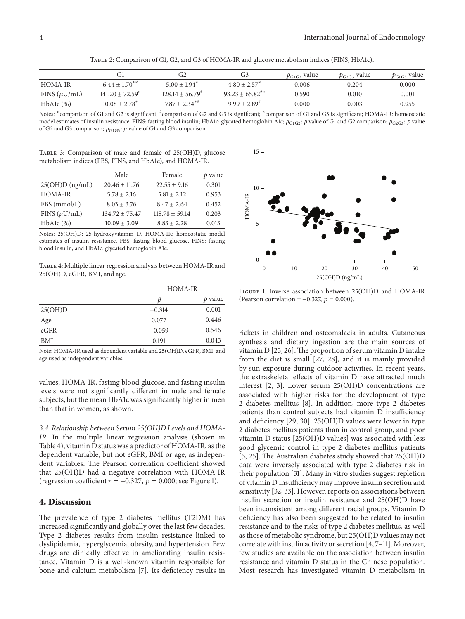Table 2: Comparison of G1, G2, and G3 of HOMA-IR and glucose metabolism indices (FINS, HbA1c).

|                   | Gl                              | G2                    | G3                           | $p_{\text{G1G2}}$ value | $p_{G2G3}$ value | $p_{\text{G1G3}}$ value |
|-------------------|---------------------------------|-----------------------|------------------------------|-------------------------|------------------|-------------------------|
| HOMA-IR           | $6.44 + 1.70^{**}$              | $5.00 + 1.94^*$       | $4.80 + 2.57^*$              | 0.006                   | 0.204            | 0.000                   |
| FINS $(\mu U/mL)$ | $141.20 \pm 72.59$ <sup>*</sup> | $128.14 + 56.79^{\#}$ | $93.23 + 65.82^{\text{\#x}}$ | 0.590                   | 0.010            | 0.001                   |
| $HbA1c$ $(\%)$    | $10.08 + 2.78^*$                | $7.87 + 2.34***$      | $9.99 + 2.89^{4}$            | 0.000                   | 0.003            | 0.955                   |

Notes: <sup>∗</sup>comparison of G1 and G2 is significant; # comparison of G2 and G3 is significant; <sup>n</sup>comparison of G1 and G3 is significant; HOMA-IR: homeostatic model estimates of insulin resistance; FINS: fasting blood insulin; HbA1c: glycated hemoglobin A1c;  $p_{G1G2}$ :  $p$  value of G1 and G2 comparison;  $p_{G2G3}$ :  $p$  value of G2 and G3 comparison;  $p_{\mathrm{G1G3}}$  :  $p$  value of G1 and G3 comparison.

Table 3: Comparison of male and female of 25(OH)D, glucose metabolism indices (FBS, FINS, and HbA1c), and HOMA-IR.

|                   | Male               | Female           | $p$ value |
|-------------------|--------------------|------------------|-----------|
| $25(OH)D$ (ng/mL) | $20.46 \pm 11.76$  | $22.55 \pm 9.16$ | 0.301     |
| <b>HOMA-IR</b>    | $5.78 + 2.16$      | $5.81 + 2.12$    | 0.953     |
| FBS (mmol/L)      | $8.03 + 3.76$      | $8.47 + 2.64$    | 0.452     |
| FINS $(\mu U/mL)$ | $134.72 \pm 75.47$ | $118.78 + 59.14$ | 0.203     |
| HbA1c (%)         | $10.09 \pm 3.09$   | $8.83 + 2.28$    | 0.013     |

Notes: 25(OH)D: 25-hydroxyvitamin D, HOMA-IR: homeostatic model estimates of insulin resistance, FBS: fasting blood glucose, FINS: fasting blood insulin, and HbA1c: glycated hemoglobin A1c.

Table 4: Multiple linear regression analysis between HOMA-IR and 25(OH)D, eGFR, BMI, and age.

|            | <b>HOMA-IR</b> |           |  |
|------------|----------------|-----------|--|
|            | ß              | $p$ value |  |
| 25(OH)D    | $-0.314$       | 0.001     |  |
| Age        | 0.077          | 0.446     |  |
| eGFR       | $-0.059$       | 0.546     |  |
| <b>BMI</b> | 0.191          | 0.043     |  |

Note: HOMA-IR used as dependent variable and 25(OH)D, eGFR, BMI, and age used as independent variables.

values, HOMA-IR, fasting blood glucose, and fasting insulin levels were not significantly different in male and female subjects, but the mean HbA1c was significantly higher in men than that in women, as shown.

*3.4. Relationship between Serum 25(OH)D Levels and HOMA-IR.* In the multiple linear regression analysis (shown in Table 4), vitamin D status was a predictor of HOMA-IR, as the dependent variable, but not eGFR, BMI or age, as independent variables. The Pearson correlation coefficient showed that 25(OH)D had a negative correlation with HOMA-IR (regression coefficient  $r = -0.327$ ,  $p = 0.000$ ; see Figure 1).

#### **4. Discussion**

The prevalence of type 2 diabetes mellitus (T2DM) has increased significantly and globally over the last few decades. Type 2 diabetes results from insulin resistance linked to dyslipidemia, hyperglycemia, obesity, and hypertension. Few drugs are clinically effective in ameliorating insulin resistance. Vitamin D is a well-known vitamin responsible for bone and calcium metabolism [7]. Its deficiency results in



Figure 1: Inverse association between 25(OH)D and HOMA-IR (Pearson correlation =  $-0.327$ ,  $p = 0.000$ ).

rickets in children and osteomalacia in adults. Cutaneous synthesis and dietary ingestion are the main sources of vitamin  $D$  [25, 26]. The proportion of serum vitamin  $D$  intake from the diet is small [27, 28], and it is mainly provided by sun exposure during outdoor activities. In recent years, the extraskeletal effects of vitamin D have attracted much interest [2, 3]. Lower serum 25(OH)D concentrations are associated with higher risks for the development of type 2 diabetes mellitus [8]. In addition, more type 2 diabetes patients than control subjects had vitamin D insufficiency and deficiency [29, 30]. 25(OH)D values were lower in type 2 diabetes mellitus patients than in control group, and poor vitamin D status [25(OH)D values] was associated with less good glycemic control in type 2 diabetes mellitus patients [5, 25]. The Australian diabetes study showed that 25(OH)D data were inversely associated with type 2 diabetes risk in their population [31]. Many in vitro studies suggest repletion of vitamin D insufficiency may improve insulin secretion and sensitivity [32, 33]. However, reports on associations between insulin secretion or insulin resistance and 25(OH)D have been inconsistent among different racial groups. Vitamin D deficiency has also been suggested to be related to insulin resistance and to the risks of type 2 diabetes mellitus, as well as those of metabolic syndrome, but 25(OH)D values may not correlate with insulin activity or secretion [4, 7–11]. Moreover, few studies are available on the association between insulin resistance and vitamin D status in the Chinese population. Most research has investigated vitamin D metabolism in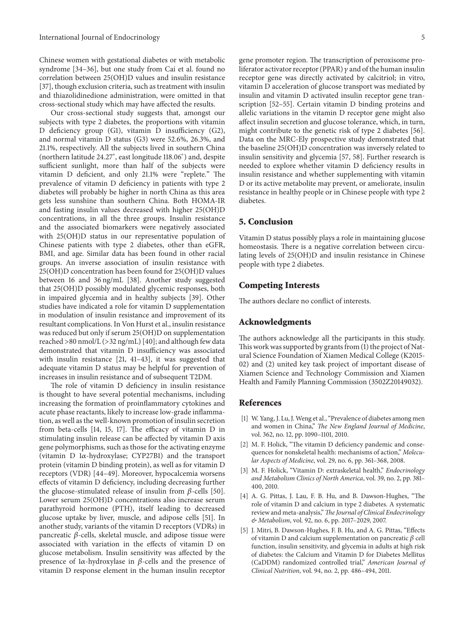Chinese women with gestational diabetes or with metabolic syndrome [34–36], but one study from Cai et al. found no correlation between 25(OH)D values and insulin resistance [37], though exclusion criteria, such as treatment with insulin and thiazolidinedione administration, were omitted in that cross-sectional study which may have affected the results.

Our cross-sectional study suggests that, amongst our subjects with type 2 diabetes, the proportions with vitamin D deficiency group (G1), vitamin D insufficiency (G2), and normal vitamin D status (G3) were 52.6%, 26.3%, and 21.1%, respectively. All the subjects lived in southern China (northern latitude 24.27<sup>∘</sup> , east longitude 118.06<sup>∘</sup> ) and, despite sufficient sunlight, more than half of the subjects were vitamin D deficient, and only 21.1% were "replete." The prevalence of vitamin D deficiency in patients with type 2 diabetes will probably be higher in north China as this area gets less sunshine than southern China. Both HOMA-IR and fasting insulin values decreased with higher 25(OH)D concentrations, in all the three groups. Insulin resistance and the associated biomarkers were negatively associated with 25(OH)D status in our representative population of Chinese patients with type 2 diabetes, other than eGFR, BMI, and age. Similar data has been found in other racial groups. An inverse association of insulin resistance with 25(OH)D concentration has been found for 25(OH)D values between 16 and 36 ng/mL [38]. Another study suggested that 25(OH)D possibly modulated glycemic responses, both in impaired glycemia and in healthy subjects [39]. Other studies have indicated a role for vitamin D supplementation in modulation of insulin resistance and improvement of its resultant complications. In Von Hurst et al., insulin resistance was reduced but only if serum 25(OH)D on supplementation reached >80 nmol/L (>32 ng/mL) [40]; and although few data demonstrated that vitamin D insufficiency was associated with insulin resistance [21, 41–43], it was suggested that adequate vitamin D status may be helpful for prevention of increases in insulin resistance and of subsequent T2DM.

The role of vitamin D deficiency in insulin resistance is thought to have several potential mechanisms, including increasing the formation of proinflammatory cytokines and acute phase reactants, likely to increase low-grade inflammation, as well as the well-known promotion of insulin secretion from beta-cells [14, 15, 17]. The efficacy of vitamin D in stimulating insulin release can be affected by vitamin D axis gene polymorphisms, such as those for the activating enzyme (vitamin  $D$  1 $\alpha$ -hydroxylase; CYP27B1) and the transport protein (vitamin D binding protein), as well as for vitamin D receptors (VDR) [44–49]. Moreover, hypocalcemia worsens effects of vitamin D deficiency, including decreasing further the glucose-stimulated release of insulin from  $\beta$ -cells [50]. Lower serum 25(OH)D concentrations also increase serum parathyroid hormone (PTH), itself leading to decreased glucose uptake by liver, muscle, and adipose cells [51]. In another study, variants of the vitamin D receptors (VDRs) in pancreatic  $\beta$ -cells, skeletal muscle, and adipose tissue were associated with variation in the effects of vitamin D on glucose metabolism. Insulin sensitivity was affected by the presence of  $1\alpha$ -hydroxylase in  $\beta$ -cells and the presence of vitamin D response element in the human insulin receptor gene promoter region. The transcription of peroxisome proliferator activator receptor (PPAR)  $\gamma$  and of the human insulin receptor gene was directly activated by calcitriol; in vitro, vitamin D acceleration of glucose transport was mediated by insulin and vitamin D activated insulin receptor gene transcription [52–55]. Certain vitamin D binding proteins and allelic variations in the vitamin D receptor gene might also affect insulin secretion and glucose tolerance, which, in turn, might contribute to the genetic risk of type 2 diabetes [56]. Data on the MRC-Ely prospective study demonstrated that the baseline 25(OH)D concentration was inversely related to insulin sensitivity and glycemia [57, 58]. Further research is needed to explore whether vitamin D deficiency results in insulin resistance and whether supplementing with vitamin D or its active metabolite may prevent, or ameliorate, insulin resistance in healthy people or in Chinese people with type 2 diabetes.

#### **5. Conclusion**

Vitamin D status possibly plays a role in maintaining glucose homeostasis. There is a negative correlation between circulating levels of 25(OH)D and insulin resistance in Chinese people with type 2 diabetes.

#### **Competing Interests**

The authors declare no conflict of interests.

#### **Acknowledgments**

The authors acknowledge all the participants in this study. This work was supported by grants from (1) the project of Natural Science Foundation of Xiamen Medical College (K2015- 02) and (2) united key task project of important disease of Xiamen Science and Technology Commission and Xiamen Health and Family Planning Commission (3502Z20149032).

#### **References**

- [1] W. Yang, J. Lu, J. Weng et al., "Prevalence of diabetes among men and women in China," *The New England Journal of Medicine*, vol. 362, no. 12, pp. 1090–1101, 2010.
- [2] M. F. Holick, "The vitamin D deficiency pandemic and consequences for nonskeletal health: mechanisms of action," *Molecular Aspects of Medicine*, vol. 29, no. 6, pp. 361–368, 2008.
- [3] M. F. Holick, "Vitamin D: extraskeletal health," *Endocrinology and Metabolism Clinics of North America*, vol. 39, no. 2, pp. 381– 400, 2010.
- [4] A. G. Pittas, J. Lau, F. B. Hu, and B. Dawson-Hughes, "The role of vitamin D and calcium in type 2 diabetes. A systematic review and meta-analysis,"*The Journal of Clinical Endocrinology & Metabolism*, vol. 92, no. 6, pp. 2017–2029, 2007.
- [5] J. Mitri, B. Dawson-Hughes, F. B. Hu, and A. G. Pittas, "Effects of vitamin D and calcium supplementation on pancreatic  $\beta$  cell function, insulin sensitivity, and glycemia in adults at high risk of diabetes: the Calcium and Vitamin D for Diabetes Mellitus (CaDDM) randomized controlled trial," *American Journal of Clinical Nutrition*, vol. 94, no. 2, pp. 486–494, 2011.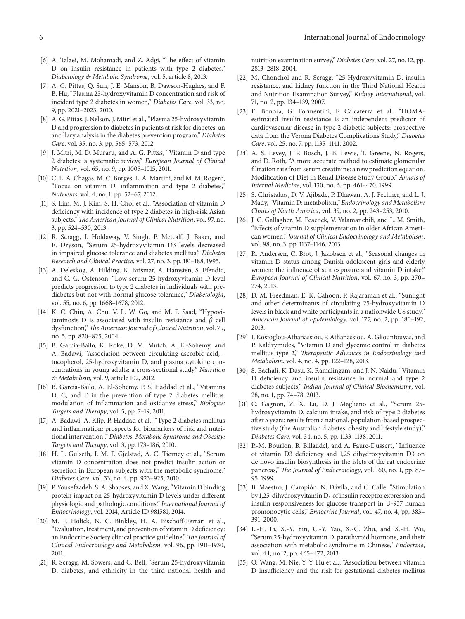- [6] A. Talaei, M. Mohamadi, and Z. Adgi, "The effect of vitamin D on insulin resistance in patients with type 2 diabetes," *Diabetology & Metabolic Syndrome*, vol. 5, article 8, 2013.
- [7] A. G. Pittas, Q. Sun, J. E. Manson, B. Dawson-Hughes, and F. B. Hu, "Plasma 25-hydroxyvitamin D concentration and risk of incident type 2 diabetes in women," *Diabetes Care*, vol. 33, no. 9, pp. 2021–2023, 2010.
- [8] A. G. Pittas, J. Nelson, J. Mitri et al., "Plasma 25-hydroxyvitamin D and progression to diabetes in patients at risk for diabetes: an ancillary analysis in the diabetes prevention program," *Diabetes Care*, vol. 35, no. 3, pp. 565–573, 2012.
- [9] J. Mitri, M. D. Muraru, and A. G. Pittas, "Vitamin D and type 2 diabetes: a systematic review," *European Journal of Clinical Nutrition*, vol. 65, no. 9, pp. 1005–1015, 2011.
- [10] C. E. A. Chagas, M. C. Borges, L. A. Martini, and M. M. Rogero, "Focus on vitamin D, inflammation and type 2 diabetes," *Nutrients*, vol. 4, no. 1, pp. 52–67, 2012.
- [11] S. Lim, M. J. Kim, S. H. Choi et al., "Association of vitamin D deficiency with incidence of type 2 diabetes in high-risk Asian subjects," *The American Journal of Clinical Nutrition*, vol. 97, no. 3, pp. 524–530, 2013.
- [12] R. Scragg, I. Holdaway, V. Singh, P. Metcalf, J. Baker, and E. Dryson, "Serum 25-hydroxyvitamin D3 levels decreased in impaired glucose tolerance and diabetes mellitus," *Diabetes Research and Clinical Practice*, vol. 27, no. 3, pp. 181–188, 1995.
- [13] A. Deleskog, A. Hilding, K. Brismar, A. Hamsten, S. Efendic, and C.-G. Östenson, "Low serum 25-hydroxyvitamin D level predicts progression to type 2 diabetes in individuals with prediabetes but not with normal glucose tolerance," *Diabetologia*, vol. 55, no. 6, pp. 1668–1678, 2012.
- [14] K. C. Chiu, A. Chu, V. L. W. Go, and M. F. Saad, "Hypovitaminosis D is associated with insulin resistance and  $\beta$  cell dysfunction,"*The American Journal of Clinical Nutrition*, vol. 79, no. 5, pp. 820–825, 2004.
- [15] B. García-Bailo, K. Roke, D. M. Mutch, A. El-Sohemy, and A. Badawi, "Association between circulating ascorbic acid, tocopherol, 25-hydroxyvitamin D, and plasma cytokine concentrations in young adults: a cross-sectional study," *Nutrition & Metabolism*, vol. 9, article 102, 2012.
- [16] B. Garcia-Bailo, A. El-Sohemy, P. S. Haddad et al., "Vitamins D, C, and E in the prevention of type 2 diabetes mellitus: modulation of inflammation and oxidative stress," *Biologics: Targets and Therapy*, vol. 5, pp. 7–19, 2011.
- [17] A. Badawi, A. Klip, P. Haddad et al., "Type 2 diabetes mellitus and inflammation: prospects for biomarkers of risk and nutritional intervention ," *Diabetes, Metabolic Syndrome and Obesity: Targets and Therapy*, vol. 3, pp. 173–186, 2010.
- [18] H. L. Gulseth, I. M. F. Gjelstad, A. C. Tierney et al., "Serum vitamin D concentration does not predict insulin action or secretion in European subjects with the metabolic syndrome," *Diabetes Care*, vol. 33, no. 4, pp. 923–925, 2010.
- [19] P. Yousefzadeh, S. A. Shapses, and X. Wang, "Vitamin D binding protein impact on 25-hydroxyvitamin D levels under different physiologic and pathologic conditions," *International Journal of Endocrinology*, vol. 2014, Article ID 981581, 2014.
- [20] M. F. Holick, N. C. Binkley, H. A. Bischoff-Ferrari et al., "Evaluation, treatment, and prevention of vitamin D deficiency: an Endocrine Society clinical practice guideline," *The Journal of Clinical Endocrinology and Metabolism*, vol. 96, pp. 1911–1930, 2011.
- [21] R. Scragg, M. Sowers, and C. Bell, "Serum 25-hydroxyvitamin D, diabetes, and ethnicity in the third national health and

nutrition examination survey," *Diabetes Care*, vol. 27, no. 12, pp. 2813–2818, 2004.

- [22] M. Chonchol and R. Scragg, "25-Hydroxyvitamin D, insulin resistance, and kidney function in the Third National Health and Nutrition Examination Survey," *Kidney International*, vol. 71, no. 2, pp. 134–139, 2007.
- [23] E. Bonora, G. Formentini, F. Calcaterra et al., "HOMAestimated insulin resistance is an independent predictor of cardiovascular disease in type 2 diabetic subjects: prospective data from the Verona Diabetes Complications Study," *Diabetes Care*, vol. 25, no. 7, pp. 1135–1141, 2002.
- [24] A. S. Levey, J. P. Bosch, J. B. Lewis, T. Greene, N. Rogers, and D. Roth, "A more accurate method to estimate glomerular filtration rate from serum creatinine: a new prediction equation. Modification of Diet in Renal Disease Study Group," *Annals of Internal Medicine*, vol. 130, no. 6, pp. 461–470, 1999.
- [25] S. Christakos, D. V. Ajibade, P. Dhawan, A. J. Fechner, and L. J. Mady, "Vitamin D: metabolism," *Endocrinology and Metabolism Clinics of North America*, vol. 39, no. 2, pp. 243–253, 2010.
- [26] J. C. Gallagher, M. Peacock, V. Yalamanchili, and L. M. Smith, "Effects of vitamin D supplementation in older African American women," *Journal of Clinical Endocrinology and Metabolism*, vol. 98, no. 3, pp. 1137–1146, 2013.
- [27] R. Andersen, C. Brot, J. Jakobsen et al., "Seasonal changes in vitamin D status among Danish adolescent girls and elderly women: the influence of sun exposure and vitamin D intake," *European Journal of Clinical Nutrition*, vol. 67, no. 3, pp. 270– 274, 2013.
- [28] D. M. Freedman, E. K. Cahoon, P. Rajaraman et al., "Sunlight and other determinants of circulating 25-hydroxyvitamin D levels in black and white participants in a nationwide US study," *American Journal of Epidemiology*, vol. 177, no. 2, pp. 180–192, 2013.
- [29] I. Kostoglou-Athanassiou, P. Athanassiou, A. Gkountouvas, and P. Kaldrymides, "Vitamin D and glycemic control in diabetes mellitus type 2," *Therapeutic Advances in Endocrinology and Metabolism*, vol. 4, no. 4, pp. 122–128, 2013.
- [30] S. Bachali, K. Dasu, K. Ramalingam, and J. N. Naidu, "Vitamin D deficiency and insulin resistance in normal and type 2 diabetes subjects," *Indian Journal of Clinical Biochemistry*, vol. 28, no. 1, pp. 74–78, 2013.
- [31] C. Gagnon, Z. X. Lu, D. J. Magliano et al., "Serum 25 hydroxyvitamin D, calcium intake, and risk of type 2 diabetes after 5 years: results from a national, population-based prospective study (the Australian diabetes, obesity and lifestyle study)," *Diabetes Care*, vol. 34, no. 5, pp. 1133–1138, 2011.
- [32] P.-M. Bourlon, B. Billaudel, and A. Faure-Dussert, "Influence of vitamin D3 deficiency and 1,25 dihydroxyvitamin D3 on de novo insulin biosynthesis in the islets of the rat endocrine pancreas," *The Journal of Endocrinology*, vol. 160, no. 1, pp. 87– 95, 1999.
- [33] B. Maestro, J. Campión, N. Dávila, and C. Calle, "Stimulation by 1,25-dihydroxyvitamin  $D_3$  of insulin receptor expression and insulin responsiveness for glucose transport in U-937 human promonocytic cells," *Endocrine Journal*, vol. 47, no. 4, pp. 383– 391, 2000.
- [34] L.-H. Li, X.-Y. Yin, C.-Y. Yao, X.-C. Zhu, and X.-H. Wu, "Serum 25-hydroxyvitamin D, parathyroid hormone, and their association with metabolic syndrome in Chinese," *Endocrine*, vol. 44, no. 2, pp. 465–472, 2013.
- [35] O. Wang, M. Nie, Y. Y. Hu et al., "Association between vitamin D insufficiency and the risk for gestational diabetes mellitus